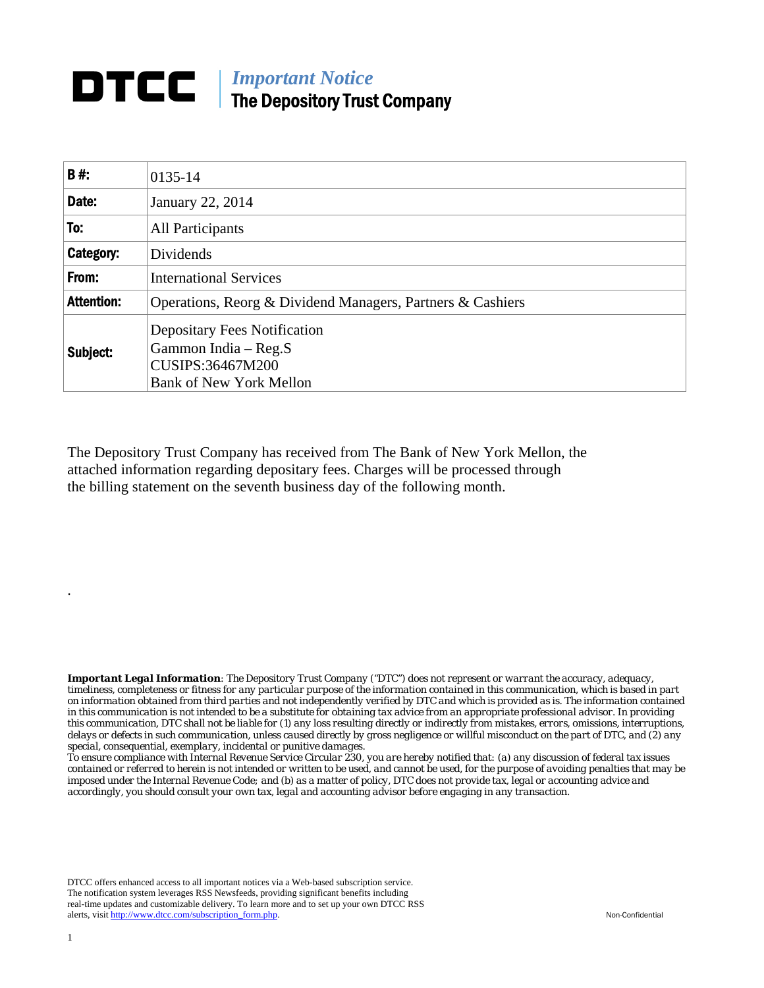## **DTCC** | *Important Notice* The Depository Trust Company

| <b>B#:</b>        | 0135-14                                                                                                           |
|-------------------|-------------------------------------------------------------------------------------------------------------------|
| Date:             | January 22, 2014                                                                                                  |
| To:               | All Participants                                                                                                  |
| Category:         | Dividends                                                                                                         |
| From:             | <b>International Services</b>                                                                                     |
| <b>Attention:</b> | Operations, Reorg & Dividend Managers, Partners & Cashiers                                                        |
| Subject:          | <b>Depositary Fees Notification</b><br>Gammon India - Reg.S<br>CUSIPS:36467M200<br><b>Bank of New York Mellon</b> |

The Depository Trust Company has received from The Bank of New York Mellon, the attached information regarding depositary fees. Charges will be processed through the billing statement on the seventh business day of the following month.

*Important Legal Information: The Depository Trust Company ("DTC") does not represent or warrant the accuracy, adequacy, timeliness, completeness or fitness for any particular purpose of the information contained in this communication, which is based in part on information obtained from third parties and not independently verified by DTC and which is provided as is. The information contained in this communication is not intended to be a substitute for obtaining tax advice from an appropriate professional advisor. In providing this communication, DTC shall not be liable for (1) any loss resulting directly or indirectly from mistakes, errors, omissions, interruptions, delays or defects in such communication, unless caused directly by gross negligence or willful misconduct on the part of DTC, and (2) any special, consequential, exemplary, incidental or punitive damages.* 

*To ensure compliance with Internal Revenue Service Circular 230, you are hereby notified that: (a) any discussion of federal tax issues contained or referred to herein is not intended or written to be used, and cannot be used, for the purpose of avoiding penalties that may be imposed under the Internal Revenue Code; and (b) as a matter of policy, DTC does not provide tax, legal or accounting advice and accordingly, you should consult your own tax, legal and accounting advisor before engaging in any transaction.*

DTCC offers enhanced access to all important notices via a Web-based subscription service. The notification system leverages RSS Newsfeeds, providing significant benefits including real-time updates and customizable delivery. To learn more and to set up your own DTCC RSS alerts, visit http://www.dtcc.com/subscription\_form.php. Non-Confidential

.